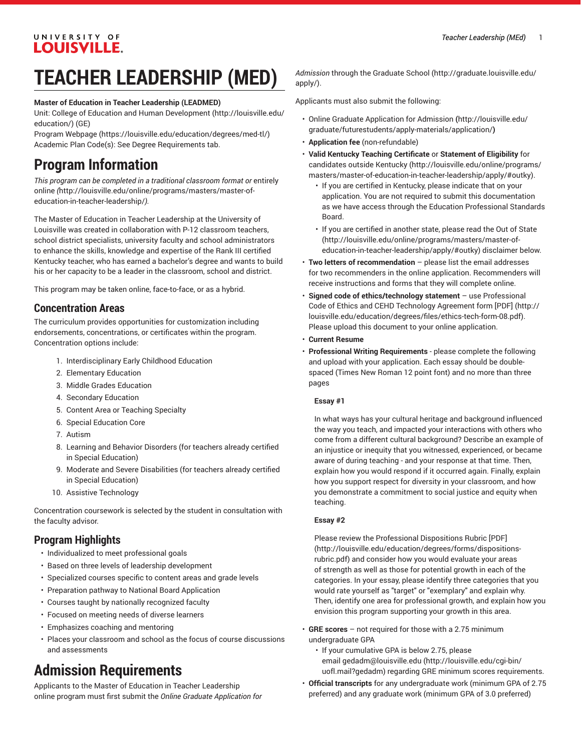## UNIVERSITY OF **LOUISVILLE.**

# **TEACHER LEADERSHIP (MED)**

### **Master of Education in Teacher Leadership (LEADMED)**

Unit: College of Education and Human [Development \(http://louisville.edu/](http://louisville.edu/education/) [education/](http://louisville.edu/education/)) (GE)

Program [Webpage](https://louisville.edu/education/degrees/med-tl/) [\(https://louisville.edu/education/degrees/med-tl/\)](https://louisville.edu/education/degrees/med-tl/) Academic Plan Code(s): See Degree Requirements tab.

## **Program Information**

*This program can be completed in a traditional classroom format or* [entirely](http://louisville.edu/online/programs/masters/master-of-education-in-teacher-leadership/) [online](http://louisville.edu/online/programs/masters/master-of-education-in-teacher-leadership/) *(*[http://louisville.edu/online/programs/masters/master-of](http://louisville.edu/online/programs/masters/master-of-education-in-teacher-leadership/)[education-in-teacher-leadership/](http://louisville.edu/online/programs/masters/master-of-education-in-teacher-leadership/)*).*

The Master of Education in Teacher Leadership at the University of Louisville was created in collaboration with P-12 classroom teachers, school district specialists, university faculty and school administrators to enhance the skills, knowledge and expertise of the Rank III certified Kentucky teacher, who has earned a bachelor's degree and wants to build his or her capacity to be a leader in the classroom, school and district.

This program may be taken online, face-to-face, or as a hybrid.

## **Concentration Areas**

The curriculum provides opportunities for customization including endorsements, concentrations, or certificates within the program. Concentration options include:

- 1. Interdisciplinary Early Childhood Education
- 2. Elementary Education
- 3. Middle Grades Education
- 4. Secondary Education
- 5. Content Area or Teaching Specialty
- 6. Special Education Core
- 7. Autism
- 8. Learning and Behavior Disorders (for teachers already certified in Special Education)
- 9. Moderate and Severe Disabilities (for teachers already certified in Special Education)
- 10. Assistive Technology

Concentration coursework is selected by the student in consultation with the faculty advisor.

## **Program Highlights**

- Individualized to meet professional goals
- Based on three levels of leadership development
- Specialized courses specific to content areas and grade levels
- Preparation pathway to National Board Application
- Courses taught by nationally recognized faculty
- Focused on meeting needs of diverse learners
- Emphasizes coaching and mentoring
- Places your classroom and school as the focus of course discussions and assessments

## **Admission Requirements**

Applicants to the Master of Education in Teacher Leadership online program must first submit the *Online Graduate Application for* *Admission* through the [Graduate School](http://graduate.louisville.edu/apply/) ([http://graduate.louisville.edu/](http://graduate.louisville.edu/apply/) [apply/](http://graduate.louisville.edu/apply/)).

Applicants must also submit the following:

- [Online Graduate Application for Admission](http://louisville.edu/graduate/futurestudents/apply-materials/application/) **(**[http://louisville.edu/](http://louisville.edu/graduate/futurestudents/apply-materials/application/) [graduate/futurestudents/apply-materials/application/](http://louisville.edu/graduate/futurestudents/apply-materials/application/)**)**
- **Application fee** (non-refundable)
- **Valid Kentucky Teaching Certificate** or **Statement of Eligibility** for candidates outside [Kentucky](http://louisville.edu/online/programs/masters/master-of-education-in-teacher-leadership/apply/#outky) [\(http://louisville.edu/online/programs/](http://louisville.edu/online/programs/masters/master-of-education-in-teacher-leadership/apply/#outky) [masters/master-of-education-in-teacher-leadership/apply/#outky\)](http://louisville.edu/online/programs/masters/master-of-education-in-teacher-leadership/apply/#outky).
	- If you are certified in Kentucky, please indicate that on your application. You are not required to submit this documentation as we have access through the Education Professional Standards Board.
	- If you are certified in another state, please read the [Out of State](http://louisville.edu/online/programs/masters/master-of-education-in-teacher-leadership/apply/#outky) [\(http://louisville.edu/online/programs/masters/master-of](http://louisville.edu/online/programs/masters/master-of-education-in-teacher-leadership/apply/#outky)[education-in-teacher-leadership/apply/#outky\)](http://louisville.edu/online/programs/masters/master-of-education-in-teacher-leadership/apply/#outky) disclaimer below.
- **Two letters of recommendation** please list the email addresses for two recommenders in the online application. Recommenders will receive instructions and forms that they will complete online.
- **Signed code of ethics/technology statement** use [Professional](http://louisville.edu/education/degrees/files/ethics-tech-form-08.pdf) Code of Ethics and CEHD [Technology](http://louisville.edu/education/degrees/files/ethics-tech-form-08.pdf) Agreement form [PDF] [\(http://](http://louisville.edu/education/degrees/files/ethics-tech-form-08.pdf) [louisville.edu/education/degrees/files/ethics-tech-form-08.pdf](http://louisville.edu/education/degrees/files/ethics-tech-form-08.pdf)). Please upload this document to your online application.
- **Current Resume**
- **Professional Writing Requirements** please complete the following and upload with your application. Each essay should be doublespaced (Times New Roman 12 point font) and no more than three pages

### **Essay #1**

In what ways has your cultural heritage and background influenced the way you teach, and impacted your interactions with others who come from a different cultural background? Describe an example of an injustice or inequity that you witnessed, experienced, or became aware of during teaching - and your response at that time. Then, explain how you would respond if it occurred again. Finally, explain how you support respect for diversity in your classroom, and how you demonstrate a commitment to social justice and equity when teaching.

#### **Essay #2**

Please review the [Professional](http://louisville.edu/education/degrees/forms/dispositions-rubric.pdf) Dispositions Rubric [PDF] [\(http://louisville.edu/education/degrees/forms/dispositions](http://louisville.edu/education/degrees/forms/dispositions-rubric.pdf)[rubric.pdf](http://louisville.edu/education/degrees/forms/dispositions-rubric.pdf)) and consider how you would evaluate your areas of strength as well as those for potential growth in each of the categories. In your essay, please identify three categories that you would rate yourself as "target" or "exemplary" and explain why. Then, identify one area for professional growth, and explain how you envision this program supporting your growth in this area.

- **GRE scores** not required for those with a 2.75 minimum undergraduate GPA
	- If your cumulative GPA is below 2.75, please email [gedadm@louisville.edu](http://louisville.edu/cgi-bin/uofl.mail?gedadm) [\(http://louisville.edu/cgi-bin/](http://louisville.edu/cgi-bin/uofl.mail?gedadm) [uofl.mail?gedadm\)](http://louisville.edu/cgi-bin/uofl.mail?gedadm) regarding GRE minimum scores requirements.
- **Official transcripts** for any undergraduate work (minimum GPA of 2.75 preferred) and any graduate work (minimum GPA of 3.0 preferred)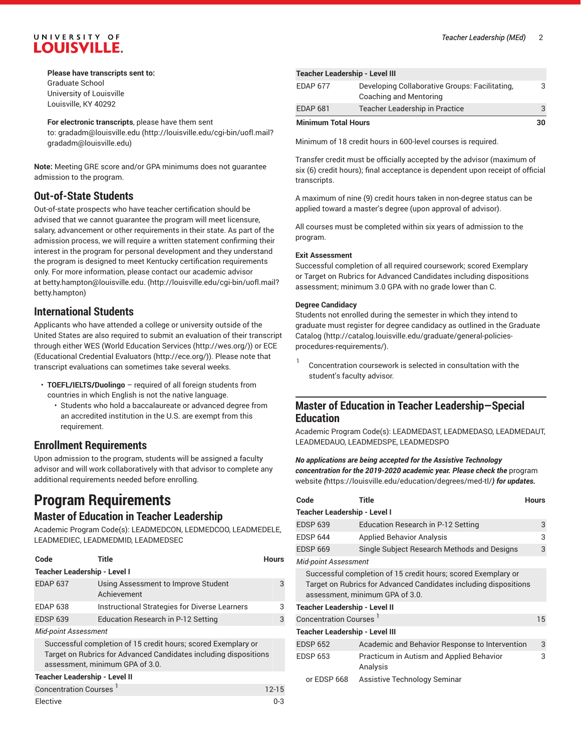## UNIVERSITY OF **LOUISVILLE.**

#### **Please have transcripts sent to:** Graduate School

University of Louisville Louisville, KY 40292

#### **For electronic transcripts**, please have them sent

to: [gradadm@louisville.edu \(http://louisville.edu/cgi-bin/uofl.mail?](http://louisville.edu/cgi-bin/uofl.mail?gradadm@louisville.edu) [gradadm@louisville.edu](http://louisville.edu/cgi-bin/uofl.mail?gradadm@louisville.edu))

**Note:** Meeting GRE score and/or GPA minimums does not guarantee admission to the program.

## **Out-of-State Students**

Out-of-state prospects who have teacher certification should be advised that we cannot guarantee the program will meet licensure, salary, advancement or other requirements in their state. As part of the admission process, we will require a written statement confirming their interest in the program for personal development and they understand the program is designed to meet Kentucky certification requirements only. For more information, please contact our academic advisor at [betty.hampton@louisville.edu. \(http://louisville.edu/cgi-bin/uofl.mail?](http://louisville.edu/cgi-bin/uofl.mail?betty.hampton) [betty.hampton](http://louisville.edu/cgi-bin/uofl.mail?betty.hampton))

## **International Students**

Applicants who have attended a college or university outside of the United States are also required to submit an evaluation of their transcript through either WES (World [Education](http://wes.org/) Services [\(http://wes.org/](http://wes.org/))) or ECE ([Educational](http://ece.org/) Credential Evaluators [\(http://ece.org/\)](http://ece.org/)). Please note that transcript evaluations can sometimes take several weeks.

- **TOEFL/IELTS/Duolingo** required of all foreign students from countries in which English is not the native language.
	- Students who hold a baccalaureate or advanced degree from an accredited institution in the U.S. are exempt from this requirement.

## **Enrollment Requirements**

Upon admission to the program, students will be assigned a faculty advisor and will work collaboratively with that advisor to complete any additional requirements needed before enrolling.

# **Program Requirements**

## **Master of Education in Teacher Leadership**

Academic Program Code(s): LEADMEDCON, LEDMEDCOO, LEADMEDELE, LEADMEDIEC, LEADMEDMID, LEADMEDSEC

| Code                                                                                                                                                                 | Title                                              | <b>Hours</b> |  |  |
|----------------------------------------------------------------------------------------------------------------------------------------------------------------------|----------------------------------------------------|--------------|--|--|
| <b>Teacher Leadership - Level I</b>                                                                                                                                  |                                                    |              |  |  |
| <b>EDAP 637</b>                                                                                                                                                      | Using Assessment to Improve Student<br>Achievement | 3            |  |  |
| <b>EDAP 638</b>                                                                                                                                                      | Instructional Strategies for Diverse Learners      | 3            |  |  |
| <b>EDSP 639</b>                                                                                                                                                      | Education Research in P-12 Setting                 | 3            |  |  |
| <b>Mid-point Assessment</b>                                                                                                                                          |                                                    |              |  |  |
| Successful completion of 15 credit hours; scored Exemplary or<br>Target on Rubrics for Advanced Candidates including dispositions<br>assessment, minimum GPA of 3.0. |                                                    |              |  |  |
| <b>Teacher Leadership - Level II</b>                                                                                                                                 |                                                    |              |  |  |
| Concentration Courses <sup>1</sup>                                                                                                                                   |                                                    | $12 - 15$    |  |  |
| Elective                                                                                                                                                             |                                                    | $0 - 3$      |  |  |

| <b>Teacher Leadership - Level III</b> |                                                                          |  |  |
|---------------------------------------|--------------------------------------------------------------------------|--|--|
| <b>EDAP 677</b>                       | Developing Collaborative Groups: Facilitating,<br>Coaching and Mentoring |  |  |
| EDAP 681                              | Teacher Leadership in Practice                                           |  |  |
| <b>Minimum Total Hours</b>            |                                                                          |  |  |

Minimum of 18 credit hours in 600-level courses is required.

Transfer credit must be officially accepted by the advisor (maximum of six (6) credit hours); final acceptance is dependent upon receipt of official transcripts.

A maximum of nine (9) credit hours taken in non-degree status can be applied toward a master's degree (upon approval of advisor).

All courses must be completed within six years of admission to the program.

#### **Exit Assessment**

Successful completion of all required coursework; scored Exemplary or Target on Rubrics for Advanced Candidates including dispositions assessment; minimum 3.0 GPA with no grade lower than C.

#### **Degree Candidacy**

Students not enrolled during the semester in which they intend to graduate must register for degree candidacy [as outlined in the Graduate](http://catalog.louisville.edu/graduate/general-policies-procedures-requirements/) [Catalog](http://catalog.louisville.edu/graduate/general-policies-procedures-requirements/) ([http://catalog.louisville.edu/graduate/general-policies](http://catalog.louisville.edu/graduate/general-policies-procedures-requirements/)[procedures-requirements/\)](http://catalog.louisville.edu/graduate/general-policies-procedures-requirements/).

1 Concentration coursework is selected in consultation with the student's faculty advisor.

## **Master of Education in Teacher Leadership—Special Education**

Academic Program Code(s): LEADMEDAST, LEADMEDASO, LEADMEDAUT, LEADMEDAUO, LEADMEDSPE, LEADMEDSPO

#### *No applications are being accepted for the Assistive Technology concentration for the 2019-2020 academic year. Please check the* [program](https://louisville.edu/education/degrees/med-tl/) [website](https://louisville.edu/education/degrees/med-tl/) *(*<https://louisville.edu/education/degrees/med-tl/>*) for updates.*

| Code                                                                                                                                                                 | Title                                                | <b>Hours</b> |  |  |
|----------------------------------------------------------------------------------------------------------------------------------------------------------------------|------------------------------------------------------|--------------|--|--|
| <b>Teacher Leadership - Level I</b>                                                                                                                                  |                                                      |              |  |  |
| <b>EDSP 639</b>                                                                                                                                                      | Education Research in P-12 Setting                   | 3            |  |  |
| <b>EDSP 644</b>                                                                                                                                                      | <b>Applied Behavior Analysis</b>                     | 3            |  |  |
| <b>EDSP 669</b>                                                                                                                                                      | Single Subject Research Methods and Designs          | 3            |  |  |
| <b>Mid-point Assessment</b>                                                                                                                                          |                                                      |              |  |  |
| Successful completion of 15 credit hours; scored Exemplary or<br>Target on Rubrics for Advanced Candidates including dispositions<br>assessment, minimum GPA of 3.0. |                                                      |              |  |  |
| <b>Teacher Leadership - Level II</b>                                                                                                                                 |                                                      |              |  |  |
| Concentration Courses <sup>1</sup>                                                                                                                                   |                                                      | 15           |  |  |
| <b>Teacher Leadership - Level III</b>                                                                                                                                |                                                      |              |  |  |
| <b>EDSP 652</b>                                                                                                                                                      | Academic and Behavior Response to Intervention       | 3            |  |  |
| <b>EDSP 653</b>                                                                                                                                                      | Practicum in Autism and Applied Behavior<br>Analysis | 3            |  |  |
| or EDSP 668                                                                                                                                                          | Assistive Technology Seminar                         |              |  |  |